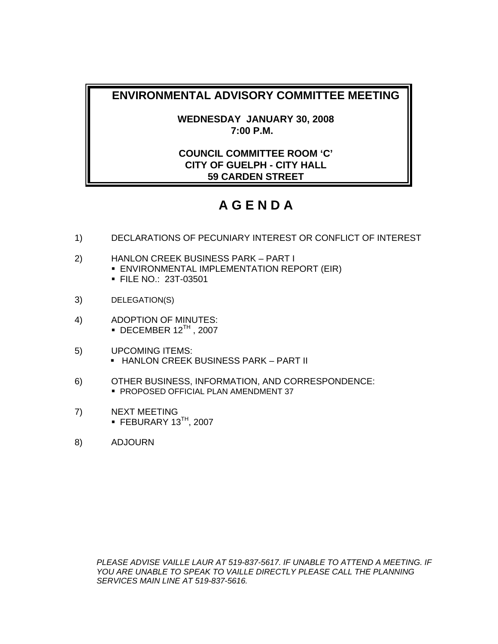**WEDNESDAY JANUARY 30, 2008 7:00 P.M.** 

# **COUNCIL COMMITTEE ROOM 'C' CITY OF GUELPH - CITY HALL 59 CARDEN STREET**

# **A G E N D A**

- 1) DECLARATIONS OF PECUNIARY INTEREST OR CONFLICT OF INTEREST
- 2) HANLON CREEK BUSINESS PARK PART I **ENVIRONMENTAL IMPLEMENTATION REPORT (EIR)** FILE NO.: 23T-03501
- 3) DELEGATION(S)
- 4) ADOPTION OF MINUTES:  $\bullet$  DECEMBER 12<sup>TH</sup>, 2007
- 5) UPCOMING ITEMS: **- HANLON CREEK BUSINESS PARK – PART II**
- 6) OTHER BUSINESS, INFORMATION, AND CORRESPONDENCE: **PROPOSED OFFICIAL PLAN AMENDMENT 37**
- 7) NEXT MEETING  $\blacksquare$  FEBURARY 13<sup>TH</sup>, 2007
- 8) ADJOURN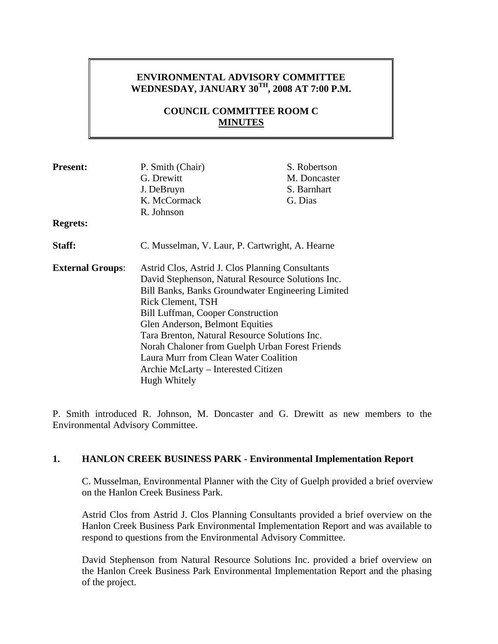# **ENVIRONMENTAL ADVISORY COMMITTEE WEDNESDAY, JANUARY 30TH, 2008 AT 7:00 P.M.**

# **COUNCIL COMMITTEE ROOM C MINUTES**

| <b>Present:</b>                                                             | P. Smith (Chair)                                                                                                                                                                                                                                                                                          | S. Robertson |
|-----------------------------------------------------------------------------|-----------------------------------------------------------------------------------------------------------------------------------------------------------------------------------------------------------------------------------------------------------------------------------------------------------|--------------|
|                                                                             | G. Drewitt                                                                                                                                                                                                                                                                                                | M. Doncaster |
|                                                                             | J. DeBruyn                                                                                                                                                                                                                                                                                                | S. Barnhart  |
|                                                                             | K. McCormack                                                                                                                                                                                                                                                                                              | G. Dias      |
|                                                                             | R. Johnson                                                                                                                                                                                                                                                                                                |              |
| <b>Regrets:</b>                                                             |                                                                                                                                                                                                                                                                                                           |              |
| Staff:                                                                      | C. Musselman, V. Laur, P. Cartwright, A. Hearne                                                                                                                                                                                                                                                           |              |
| Astrid Clos, Astrid J. Clos Planning Consultants<br><b>External Groups:</b> |                                                                                                                                                                                                                                                                                                           |              |
|                                                                             | David Stephenson, Natural Resource Solutions Inc.                                                                                                                                                                                                                                                         |              |
|                                                                             | Bill Banks, Banks Groundwater Engineering Limited<br><b>Rick Clement, TSH</b><br><b>Bill Luffman, Cooper Construction</b><br>Glen Anderson, Belmont Equities<br>Tara Brenton, Natural Resource Solutions Inc.<br>Norah Chaloner from Guelph Urban Forest Friends<br>Laura Murr from Clean Water Coalition |              |
|                                                                             |                                                                                                                                                                                                                                                                                                           |              |
|                                                                             |                                                                                                                                                                                                                                                                                                           |              |
|                                                                             |                                                                                                                                                                                                                                                                                                           |              |
|                                                                             |                                                                                                                                                                                                                                                                                                           |              |
|                                                                             |                                                                                                                                                                                                                                                                                                           |              |
|                                                                             |                                                                                                                                                                                                                                                                                                           |              |
|                                                                             | Archie McLarty - Interested Citizen                                                                                                                                                                                                                                                                       |              |
|                                                                             | Hugh Whitely                                                                                                                                                                                                                                                                                              |              |

P. Smith introduced R. Johnson, M. Doncaster and G. Drewitt as new members to the Environmental Advisory Committee.

### **1. HANLON CREEK BUSINESS PARK - Environmental Implementation Report**

C. Musselman, Environmental Planner with the City of Guelph provided a brief overview on the Hanlon Creek Business Park.

Astrid Clos from Astrid J. Clos Planning Consultants provided a brief overview on the Hanlon Creek Business Park Environmental Implementation Report and was available to respond to questions from the Environmental Advisory Committee.

David Stephenson from Natural Resource Solutions Inc. provided a brief overview on the Hanlon Creek Business Park Environmental Implementation Report and the phasing of the project.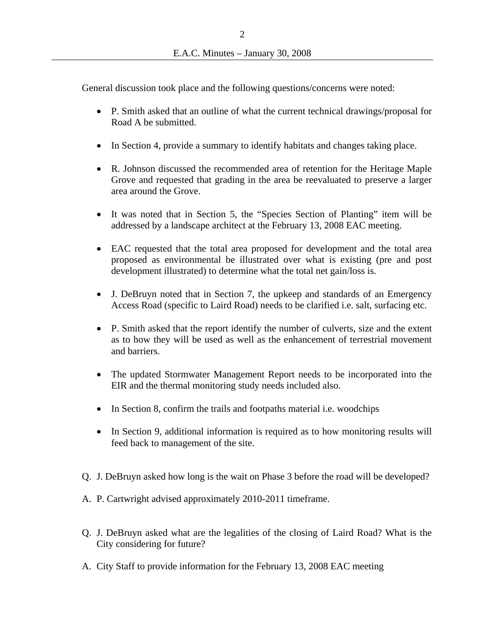General discussion took place and the following questions/concerns were noted:

- P. Smith asked that an outline of what the current technical drawings/proposal for Road A be submitted.
- In Section 4, provide a summary to identify habitats and changes taking place.
- R. Johnson discussed the recommended area of retention for the Heritage Maple Grove and requested that grading in the area be reevaluated to preserve a larger area around the Grove.
- It was noted that in Section 5, the "Species Section of Planting" item will be addressed by a landscape architect at the February 13, 2008 EAC meeting.
- EAC requested that the total area proposed for development and the total area proposed as environmental be illustrated over what is existing (pre and post development illustrated) to determine what the total net gain/loss is.
- J. DeBruyn noted that in Section 7, the upkeep and standards of an Emergency Access Road (specific to Laird Road) needs to be clarified i.e. salt, surfacing etc.
- P. Smith asked that the report identify the number of culverts, size and the extent as to how they will be used as well as the enhancement of terrestrial movement and barriers.
- The updated Stormwater Management Report needs to be incorporated into the EIR and the thermal monitoring study needs included also.
- In Section 8, confirm the trails and footpaths material i.e. woodchips
- In Section 9, additional information is required as to how monitoring results will feed back to management of the site.
- Q. J. DeBruyn asked how long is the wait on Phase 3 before the road will be developed?
- A. P. Cartwright advised approximately 2010-2011 timeframe.
- Q. J. DeBruyn asked what are the legalities of the closing of Laird Road? What is the City considering for future?
- A. City Staff to provide information for the February 13, 2008 EAC meeting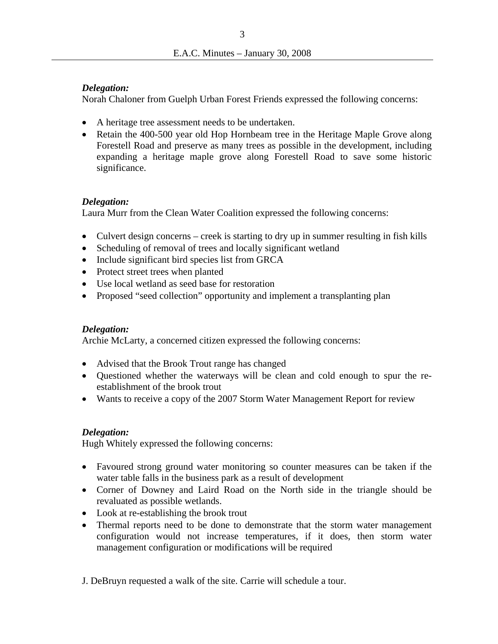### *Delegation:*

Norah Chaloner from Guelph Urban Forest Friends expressed the following concerns:

- A heritage tree assessment needs to be undertaken.
- Retain the 400-500 year old Hop Hornbeam tree in the Heritage Maple Grove along Forestell Road and preserve as many trees as possible in the development, including expanding a heritage maple grove along Forestell Road to save some historic significance.

### *Delegation:*

Laura Murr from the Clean Water Coalition expressed the following concerns:

- Culvert design concerns creek is starting to dry up in summer resulting in fish kills
- Scheduling of removal of trees and locally significant wetland
- Include significant bird species list from GRCA
- Protect street trees when planted
- Use local wetland as seed base for restoration
- Proposed "seed collection" opportunity and implement a transplanting plan

### *Delegation:*

Archie McLarty, a concerned citizen expressed the following concerns:

- Advised that the Brook Trout range has changed
- Questioned whether the waterways will be clean and cold enough to spur the reestablishment of the brook trout
- Wants to receive a copy of the 2007 Storm Water Management Report for review

### *Delegation:*

Hugh Whitely expressed the following concerns:

- Favoured strong ground water monitoring so counter measures can be taken if the water table falls in the business park as a result of development
- Corner of Downey and Laird Road on the North side in the triangle should be revaluated as possible wetlands.
- Look at re-establishing the brook trout
- Thermal reports need to be done to demonstrate that the storm water management configuration would not increase temperatures, if it does, then storm water management configuration or modifications will be required
- J. DeBruyn requested a walk of the site. Carrie will schedule a tour.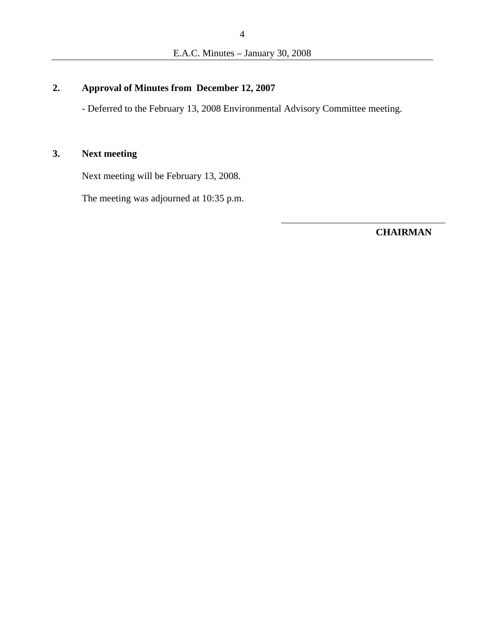# **2. Approval of Minutes from December 12, 2007**

- Deferred to the February 13, 2008 Environmental Advisory Committee meeting.

# **3. Next meeting**

Next meeting will be February 13, 2008.

The meeting was adjourned at 10:35 p.m.

**CHAIRMAN**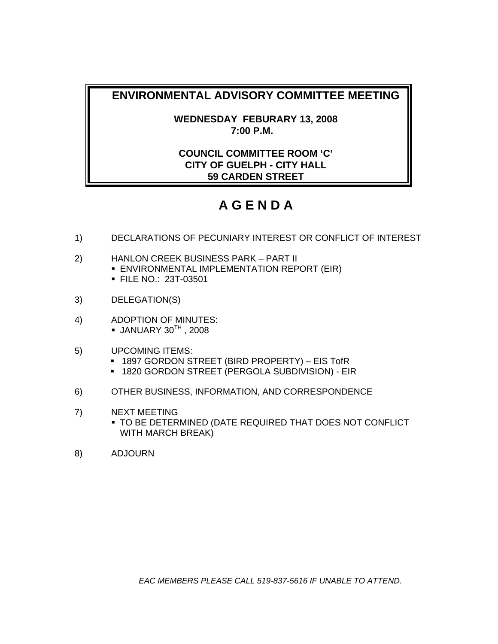**WEDNESDAY FEBURARY 13, 2008 7:00 P.M.** 

# **COUNCIL COMMITTEE ROOM 'C' CITY OF GUELPH - CITY HALL 59 CARDEN STREET**

# **A G E N D A**

- 1) DECLARATIONS OF PECUNIARY INTEREST OR CONFLICT OF INTEREST
- 2) HANLON CREEK BUSINESS PARK PART II **ENVIRONMENTAL IMPLEMENTATION REPORT (EIR)** 
	- FILE NO.: 23T-03501
- 3) DELEGATION(S)
- 4) ADOPTION OF MINUTES:  $\bullet$  JANUARY 30<sup>TH</sup>, 2008
- 5) UPCOMING ITEMS:
	- 1897 GORDON STREET (BIRD PROPERTY) EIS TofR
	- 1820 GORDON STREET (PERGOLA SUBDIVISION) EIR
- 6) OTHER BUSINESS, INFORMATION, AND CORRESPONDENCE
- 7) NEXT MEETING
	- TO BE DETERMINED (DATE REQUIRED THAT DOES NOT CONFLICT WITH MARCH BREAK)
- 8) ADJOURN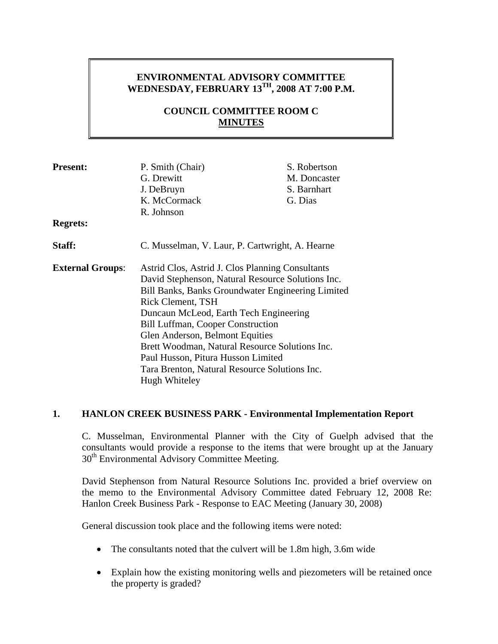# **ENVIRONMENTAL ADVISORY COMMITTEE WEDNESDAY, FEBRUARY 13TH, 2008 AT 7:00 P.M.**

# **COUNCIL COMMITTEE ROOM C MINUTES**

| <b>Present:</b>         | P. Smith (Chair)                                                                                                                                                                                                                                                                        | S. Robertson |
|-------------------------|-----------------------------------------------------------------------------------------------------------------------------------------------------------------------------------------------------------------------------------------------------------------------------------------|--------------|
|                         | G. Drewitt                                                                                                                                                                                                                                                                              | M. Doncaster |
|                         | J. DeBruyn                                                                                                                                                                                                                                                                              | S. Barnhart  |
|                         | K. McCormack                                                                                                                                                                                                                                                                            | G. Dias      |
|                         | R. Johnson                                                                                                                                                                                                                                                                              |              |
| <b>Regrets:</b>         |                                                                                                                                                                                                                                                                                         |              |
| Staff:                  | C. Musselman, V. Laur, P. Cartwright, A. Hearne                                                                                                                                                                                                                                         |              |
| <b>External Groups:</b> | Astrid Clos, Astrid J. Clos Planning Consultants                                                                                                                                                                                                                                        |              |
|                         | David Stephenson, Natural Resource Solutions Inc.                                                                                                                                                                                                                                       |              |
|                         | Bill Banks, Banks Groundwater Engineering Limited<br>Rick Clement, TSH<br>Duncaun McLeod, Earth Tech Engineering<br><b>Bill Luffman, Cooper Construction</b><br>Glen Anderson, Belmont Equities<br>Brett Woodman, Natural Resource Solutions Inc.<br>Paul Husson, Pitura Husson Limited |              |
|                         |                                                                                                                                                                                                                                                                                         |              |
|                         |                                                                                                                                                                                                                                                                                         |              |
|                         |                                                                                                                                                                                                                                                                                         |              |
|                         |                                                                                                                                                                                                                                                                                         |              |
|                         |                                                                                                                                                                                                                                                                                         |              |
|                         |                                                                                                                                                                                                                                                                                         |              |
|                         | Tara Brenton, Natural Resource Solutions Inc.                                                                                                                                                                                                                                           |              |
| Hugh Whiteley           |                                                                                                                                                                                                                                                                                         |              |

### **1. HANLON CREEK BUSINESS PARK - Environmental Implementation Report**

C. Musselman, Environmental Planner with the City of Guelph advised that the consultants would provide a response to the items that were brought up at the January 30<sup>th</sup> Environmental Advisory Committee Meeting.

David Stephenson from Natural Resource Solutions Inc. provided a brief overview on the memo to the Environmental Advisory Committee dated February 12, 2008 Re: Hanlon Creek Business Park - Response to EAC Meeting (January 30, 2008)

General discussion took place and the following items were noted:

- The consultants noted that the culvert will be 1.8m high, 3.6m wide
- Explain how the existing monitoring wells and piezometers will be retained once the property is graded?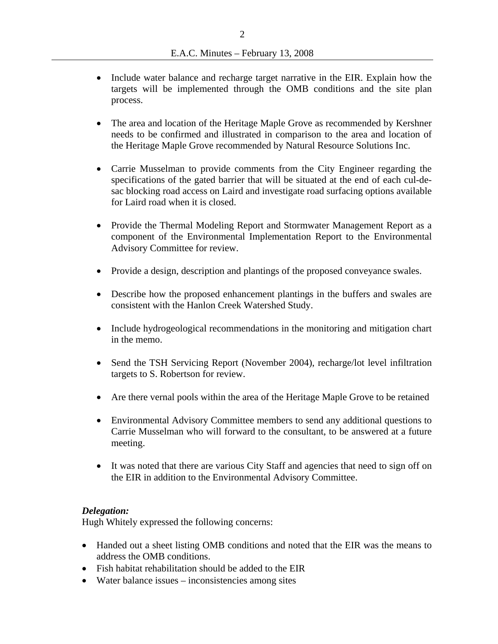- Include water balance and recharge target narrative in the EIR. Explain how the targets will be implemented through the OMB conditions and the site plan process.
- The area and location of the Heritage Maple Grove as recommended by Kershner needs to be confirmed and illustrated in comparison to the area and location of the Heritage Maple Grove recommended by Natural Resource Solutions Inc.
- Carrie Musselman to provide comments from the City Engineer regarding the specifications of the gated barrier that will be situated at the end of each cul-desac blocking road access on Laird and investigate road surfacing options available for Laird road when it is closed.
- Provide the Thermal Modeling Report and Stormwater Management Report as a component of the Environmental Implementation Report to the Environmental Advisory Committee for review.
- Provide a design, description and plantings of the proposed conveyance swales.
- Describe how the proposed enhancement plantings in the buffers and swales are consistent with the Hanlon Creek Watershed Study.
- Include hydrogeological recommendations in the monitoring and mitigation chart in the memo.
- Send the TSH Servicing Report (November 2004), recharge/lot level infiltration targets to S. Robertson for review.
- Are there vernal pools within the area of the Heritage Maple Grove to be retained
- Environmental Advisory Committee members to send any additional questions to Carrie Musselman who will forward to the consultant, to be answered at a future meeting.
- It was noted that there are various City Staff and agencies that need to sign off on the EIR in addition to the Environmental Advisory Committee.

### *Delegation:*

Hugh Whitely expressed the following concerns:

- Handed out a sheet listing OMB conditions and noted that the EIR was the means to address the OMB conditions.
- Fish habitat rehabilitation should be added to the EIR
- Water balance issues inconsistencies among sites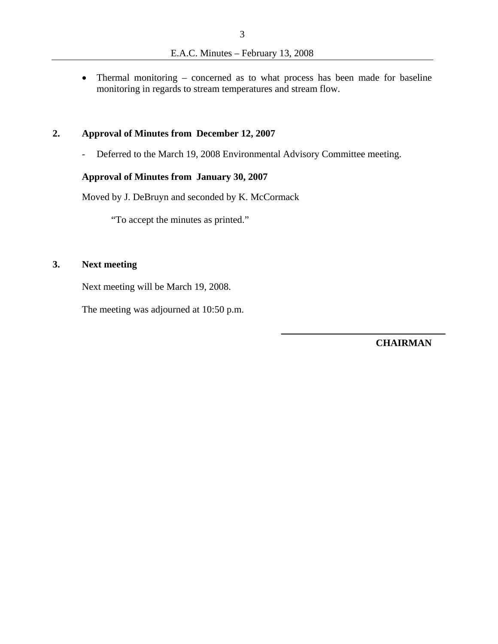• Thermal monitoring – concerned as to what process has been made for baseline monitoring in regards to stream temperatures and stream flow.

### **2. Approval of Minutes from December 12, 2007**

- Deferred to the March 19, 2008 Environmental Advisory Committee meeting.

## **Approval of Minutes from January 30, 2007**

Moved by J. DeBruyn and seconded by K. McCormack

"To accept the minutes as printed."

# **3. Next meeting**

Next meeting will be March 19, 2008.

The meeting was adjourned at 10:50 p.m.

**CHAIRMAN**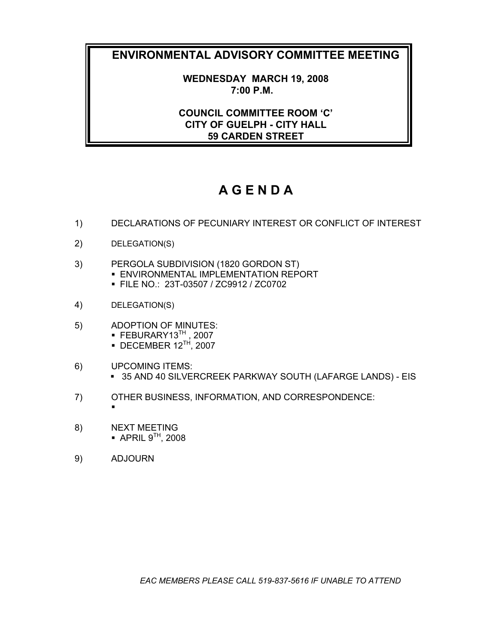**WEDNESDAY MARCH 19, 2008 7:00 P.M.** 

**COUNCIL COMMITTEE ROOM 'C' CITY OF GUELPH - CITY HALL 59 CARDEN STREET** 

# **A G E N D A**

- 1) DECLARATIONS OF PECUNIARY INTEREST OR CONFLICT OF INTEREST
- 2) DELEGATION(S)
- 3) PERGOLA SUBDIVISION (1820 GORDON ST)
	- **ENVIRONMENTAL IMPLEMENTATION REPORT**
	- FILE NO.: 23T-03507 / ZC9912 / ZC0702
- 4) DELEGATION(S)
- 5) ADOPTION OF MINUTES:  $\blacksquare$  FEBURARY13<sup>TH</sup>, 2007
	- $\bullet$  DECEMBER 12<sup>TH</sup>, 2007
- 6) UPCOMING ITEMS: 35 AND 40 SILVERCREEK PARKWAY SOUTH (LAFARGE LANDS) - EIS
- 7) OTHER BUSINESS, INFORMATION, AND CORRESPONDENCE:
- 8) NEXT MEETING  $\bullet$  APRIL  $9^{TH}$ , 2008
- 9) ADJOURN

 $\blacksquare$ 

*EAC MEMBERS PLEASE CALL 519-837-5616 IF UNABLE TO ATTEND*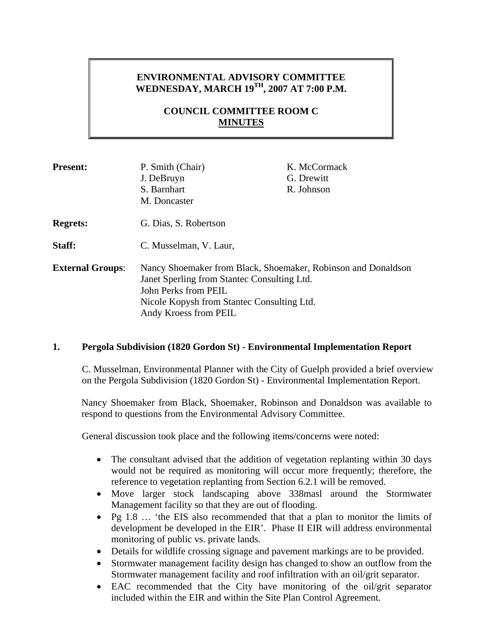# **ENVIRONMENTAL ADVISORY COMMITTEE WEDNESDAY, MARCH 19TH, 2007 AT 7:00 P.M.**

# **COUNCIL COMMITTEE ROOM C MINUTES**

| <b>Present:</b>         | P. Smith (Chair)<br>J. DeBruyn<br>S. Barnhart<br>M. Doncaster                                                                                                                                               | K. McCormack<br>G. Drewitt<br>R. Johnson |
|-------------------------|-------------------------------------------------------------------------------------------------------------------------------------------------------------------------------------------------------------|------------------------------------------|
| <b>Regrets:</b>         | G. Dias, S. Robertson                                                                                                                                                                                       |                                          |
| Staff:                  | C. Musselman, V. Laur,                                                                                                                                                                                      |                                          |
| <b>External Groups:</b> | Nancy Shoemaker from Black, Shoemaker, Robinson and Donaldson<br>Janet Sperling from Stantec Consulting Ltd.<br>John Perks from PEIL<br>Nicole Kopysh from Stantec Consulting Ltd.<br>Andy Kroess from PEIL |                                          |

### **1. Pergola Subdivision (1820 Gordon St) - Environmental Implementation Report**

C. Musselman, Environmental Planner with the City of Guelph provided a brief overview on the Pergola Subdivision (1820 Gordon St) - Environmental Implementation Report.

Nancy Shoemaker from Black, Shoemaker, Robinson and Donaldson was available to respond to questions from the Environmental Advisory Committee.

General discussion took place and the following items/concerns were noted:

- The consultant advised that the addition of vegetation replanting within 30 days would not be required as monitoring will occur more frequently; therefore, the reference to vegetation replanting from Section 6.2.1 will be removed.
- Move larger stock landscaping above 338masl around the Stormwater Management facility so that they are out of flooding.
- Pg 1.8 … 'the EIS also recommended that that a plan to monitor the limits of development be developed in the EIR'. Phase II EIR will address environmental monitoring of public vs. private lands.
- Details for wildlife crossing signage and pavement markings are to be provided.
- Stormwater management facility design has changed to show an outflow from the Stormwater management facility and roof infiltration with an oil/grit separator.
- EAC recommended that the City have monitoring of the oil/grit separator included within the EIR and within the Site Plan Control Agreement.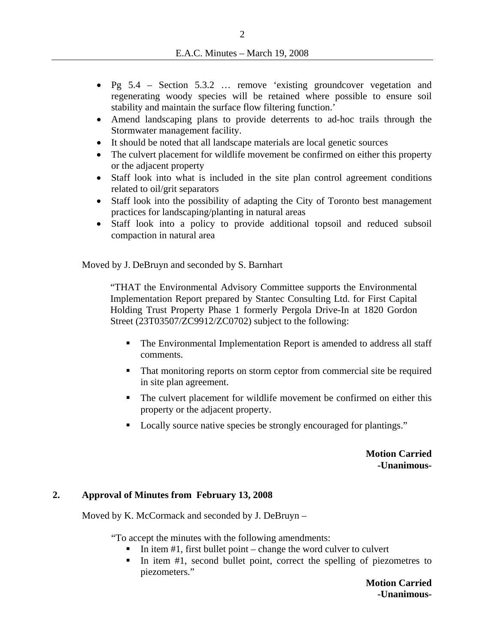- Pg 5.4 Section 5.3.2 … remove 'existing groundcover vegetation and regenerating woody species will be retained where possible to ensure soil stability and maintain the surface flow filtering function.'
- Amend landscaping plans to provide deterrents to ad-hoc trails through the Stormwater management facility.
- It should be noted that all landscape materials are local genetic sources
- The culvert placement for wildlife movement be confirmed on either this property or the adjacent property
- Staff look into what is included in the site plan control agreement conditions related to oil/grit separators
- Staff look into the possibility of adapting the City of Toronto best management practices for landscaping/planting in natural areas
- Staff look into a policy to provide additional topsoil and reduced subsoil compaction in natural area

Moved by J. DeBruyn and seconded by S. Barnhart

"THAT the Environmental Advisory Committee supports the Environmental Implementation Report prepared by Stantec Consulting Ltd. for First Capital Holding Trust Property Phase 1 formerly Pergola Drive-In at 1820 Gordon Street (23T03507/ZC9912/ZC0702) subject to the following:

- The Environmental Implementation Report is amended to address all staff comments.
- That monitoring reports on storm ceptor from commercial site be required in site plan agreement.
- The culvert placement for wildlife movement be confirmed on either this property or the adjacent property.
- Locally source native species be strongly encouraged for plantings."

**Motion Carried -Unanimous-**

### **2. Approval of Minutes from February 13, 2008**

Moved by K. McCormack and seconded by J. DeBruyn –

"To accept the minutes with the following amendments:

- In item #1, first bullet point change the word culver to culvert
- In item  $#1$ , second bullet point, correct the spelling of piezometres to piezometers."

**Motion Carried -Unanimous-**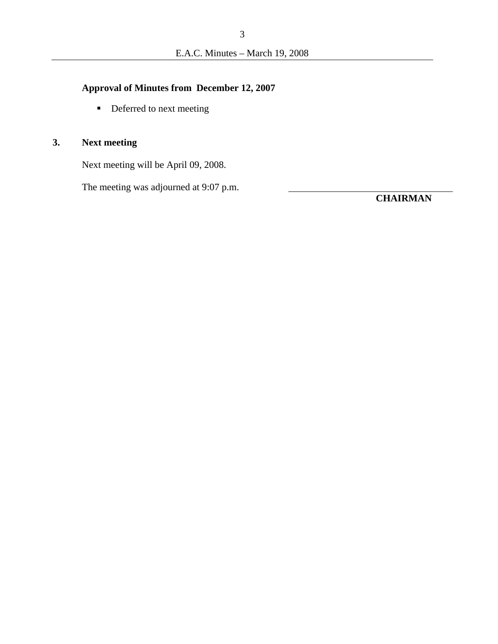# **Approval of Minutes from December 12, 2007**

Deferred to next meeting

# **3. Next meeting**

Next meeting will be April 09, 2008.

The meeting was adjourned at 9:07 p.m.

**CHAIRMAN**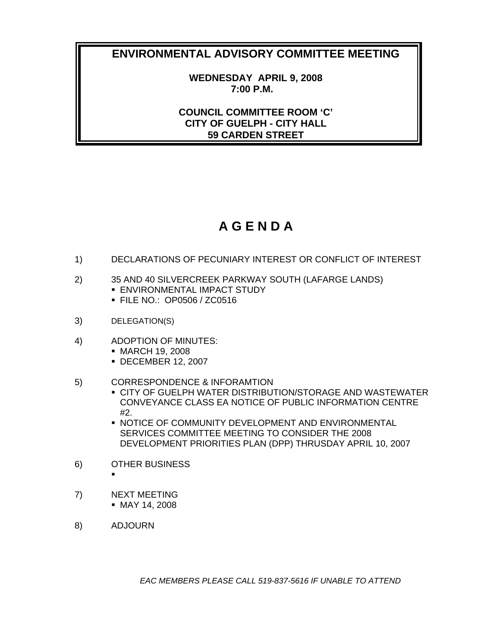**WEDNESDAY APRIL 9, 2008 7:00 P.M.** 

**COUNCIL COMMITTEE ROOM 'C' CITY OF GUELPH - CITY HALL 59 CARDEN STREET** 

# **A G E N D A**

- 1) DECLARATIONS OF PECUNIARY INTEREST OR CONFLICT OF INTEREST
- 2) 35 AND 40 SILVERCREEK PARKWAY SOUTH (LAFARGE LANDS) **ENVIRONMENTAL IMPACT STUDY** 
	- FILE NO.: OP0506 / ZC0516
- 3) DELEGATION(S)
- 4) ADOPTION OF MINUTES:
	- MARCH 19, 2008
	- DECEMBER 12, 2007
- 5) CORRESPONDENCE & INFORAMTION
	- **CITY OF GUELPH WATER DISTRIBUTION/STORAGE AND WASTEWATER** CONVEYANCE CLASS EA NOTICE OF PUBLIC INFORMATION CENTRE #2.
	- **NOTICE OF COMMUNITY DEVELOPMENT AND ENVIRONMENTAL** SERVICES COMMITTEE MEETING TO CONSIDER THE 2008 DEVELOPMENT PRIORITIES PLAN (DPP) THRUSDAY APRIL 10, 2007
- 6) OTHER BUSINESS
	- ۰
- 7) NEXT MEETING MAY 14, 2008
- 8) ADJOURN

*EAC MEMBERS PLEASE CALL 519-837-5616 IF UNABLE TO ATTEND*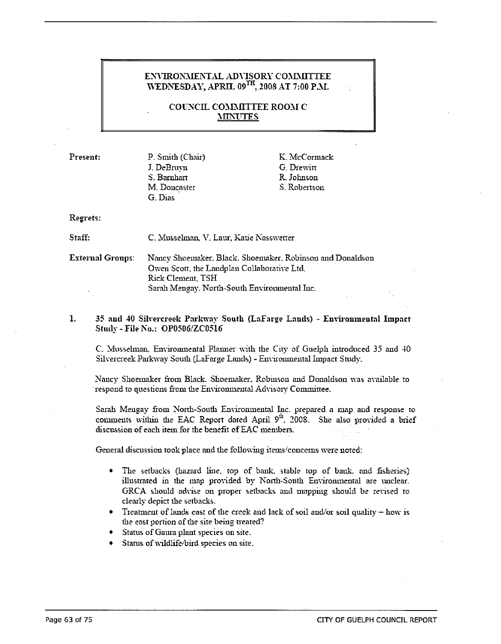#### ENVIRONMENTAL ADVISORY COMMITTEE WEDNESDAY, APRIL 09<sup>TH</sup>, 2008 AT 7:00 P.M.

**COUNCIL COMMITTEE ROOM C MINUTES** 

Present:

P. Smith (Chair) J. DeBruyn S. Barnhart M. Doncaster G. Dias

K. McCormack G. Drewitt R. Johnson S. Robertson

#### Regrets:

Staff:

C. Musselman, V. Laur, Katie Nasswetter

**External Groups:** Nancy Shoemaker, Black, Shoemaker, Robinson and Donaldson Owen Scott, the Landplan Collaborative Ltd. **Rick Clement, TSH** Sarah Mengay, North-South Environmental Inc.

 $\mathbf{1}$ . 35 and 40 Silvercreek Parkway South (LaFarge Lands) - Environmental Impact Study - File No.: OP0506/ZC0516

C. Musselman, Environmental Planner with the City of Guelph introduced 35 and 40 Silvercreek Parkway South (LaFarge Lands) - Environmental Impact Study.

Nancy Shoemaker from Black, Shoemaker, Robinson and Donaldson was available to respond to questions from the Environmental Advisory Committee.

Sarah Mengay from North-South Environmental Inc. prepared a map and response to comments within the EAC Report dated April 9<sup>th</sup>, 2008. She also provided a brief discussion of each item for the benefit of EAC members.

General discussion took place and the following items/concerns were noted:

- The setbacks (hazard line, top of bank, stable top of bank, and fisheries)  $\bullet$ illustrated in the map provided by North-South Environmental are unclear. GRCA should advise on proper setbacks and mapping should be revised to clearly depict the setbacks.
- Treatment of lands east of the creek and lack of soil and/or soil quality how is the east portion of the site being treated?
- Status of Gaura plant species on site.
- Status of wildlife/bird species on site.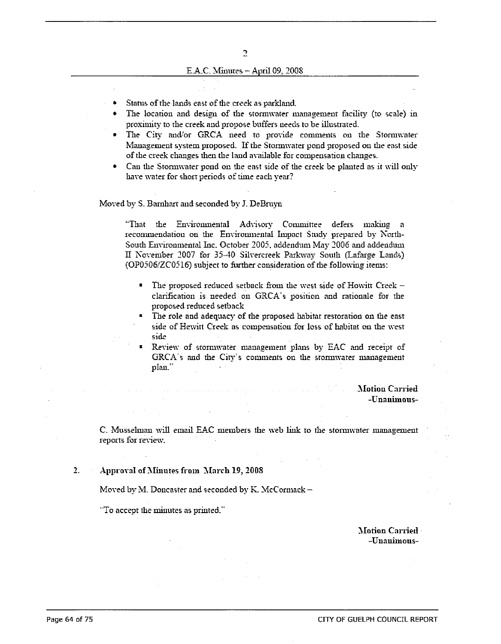- $\bullet$  . Status of the lands east of the creek as parkland.
- The location and design of the stormwater management facility (to scale) in proximity to the creek and propose buffers needs to be illustrated.
- · The City and/or GRCA need to provide comments on the Stormwater Management system proposed. If the Stormwater pond proposed on the east side of the creek changes then the land available for compensation changes.
- Can the Stomwater pond on the east side of the creek be planted as it will only have water for short periods of time each year?

#### Moved by S. Barnhart and seconded by J. DeBruyn

"That the Environmental Advisory Committee defers making a recommendation on the Environmental Impact Study prepared by North-South Environmental Inc. October 2005, addendum May 2006 and addendum II November 2007 for 35-40 Silvercreek Parkway South (Lafarge Lands) (OP0506/ZC0516) subject to further consideration of the following items:

- $\blacksquare$ The proposed reduced setback from the west side of Howitt Creek clarification is needed on GRCA's position and rationale for the proposed reduced setback
- The role and adequacy of the proposed habitat restoration on the east side of Hewitt Creek as compensation for loss of habitat on the west side
- Review of stormwater management plans by EAC and receipt of GRCA's and the City's comments on the stormwater management plan."

#### **Motion Carried** -Unanimous-

C. Musselman will email EAC members the web link to the stormwater management reports for review.

 $2.$ Approval of Minutes from March 19, 2008

Moved by M. Doncaster and seconded by K. McCormack -

"To accept the minutes as printed."

**Motion Carried** -Unauimous-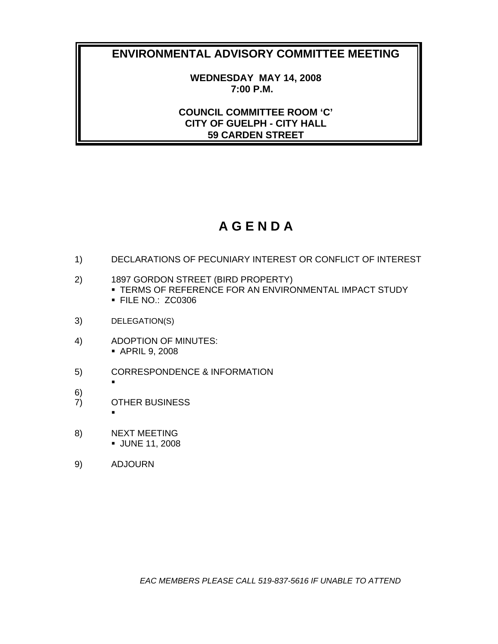**WEDNESDAY MAY 14, 2008 7:00 P.M.** 

**COUNCIL COMMITTEE ROOM 'C' CITY OF GUELPH - CITY HALL 59 CARDEN STREET** 

# **A G E N D A**

- 1) DECLARATIONS OF PECUNIARY INTEREST OR CONFLICT OF INTEREST
- 2) 1897 GORDON STREET (BIRD PROPERTY)
	- TERMS OF REFERENCE FOR AN ENVIRONMENTAL IMPACT STUDY **FILE NO.: ZC0306**
- 3) DELEGATION(S)
- 4) ADOPTION OF MINUTES: APRIL 9, 2008
- 5) CORRESPONDENCE & INFORMATION
- 6)
- 7) OTHER BUSINESS

 $\blacksquare$ 

 $\blacksquare$ 

- 8) NEXT MEETING JUNE 11, 2008
- 9) ADJOURN

*EAC MEMBERS PLEASE CALL 519-837-5616 IF UNABLE TO ATTEND*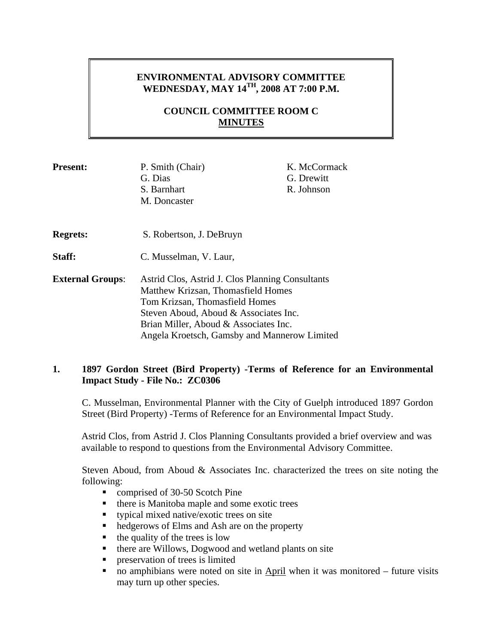# **ENVIRONMENTAL ADVISORY COMMITTEE WEDNESDAY, MAY 14TH, 2008 AT 7:00 P.M.**

# **COUNCIL COMMITTEE ROOM C MINUTES**

| <b>Present:</b>         | P. Smith (Chair)                                 | K. McCormack |  |
|-------------------------|--------------------------------------------------|--------------|--|
|                         | G. Dias                                          | G. Drewitt   |  |
|                         | S. Barnhart                                      | R. Johnson   |  |
|                         | M. Doncaster                                     |              |  |
| <b>Regrets:</b>         | S. Robertson, J. DeBruyn                         |              |  |
| <b>Staff:</b>           | C. Musselman, V. Laur,                           |              |  |
| <b>External Groups:</b> | Astrid Clos, Astrid J. Clos Planning Consultants |              |  |
|                         | Matthew Krizsan, Thomasfield Homes               |              |  |
|                         | Tom Krizsan, Thomasfield Homes                   |              |  |
|                         | Steven Aboud, Aboud & Associates Inc.            |              |  |
|                         | Brian Miller, Aboud & Associates Inc.            |              |  |
|                         | Angela Kroetsch, Gamsby and Mannerow Limited     |              |  |

# **1. 1897 Gordon Street (Bird Property) -Terms of Reference for an Environmental Impact Study - File No.: ZC0306**

C. Musselman, Environmental Planner with the City of Guelph introduced 1897 Gordon Street (Bird Property) -Terms of Reference for an Environmental Impact Study.

Astrid Clos, from Astrid J. Clos Planning Consultants provided a brief overview and was available to respond to questions from the Environmental Advisory Committee.

Steven Aboud, from Aboud & Associates Inc. characterized the trees on site noting the following:

- comprised of 30-50 Scotch Pine
- $\blacksquare$  there is Manitoba maple and some exotic trees
- typical mixed native/exotic trees on site
- hedgerows of Elms and Ash are on the property
- $\blacksquare$  the quality of the trees is low
- **there are Willows, Dogwood and wetland plants on site**
- **PERICIPED** preservation of trees is limited
- no amphibians were noted on site in April when it was monitored future visits may turn up other species.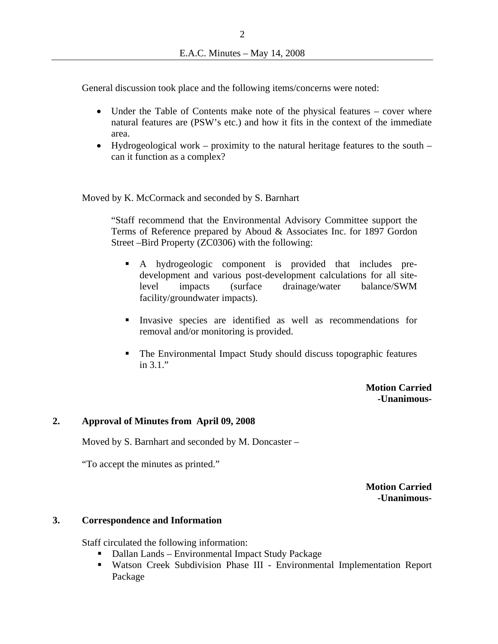General discussion took place and the following items/concerns were noted:

- Under the Table of Contents make note of the physical features cover where natural features are (PSW's etc.) and how it fits in the context of the immediate area.
- Hydrogeological work proximity to the natural heritage features to the south can it function as a complex?

Moved by K. McCormack and seconded by S. Barnhart

"Staff recommend that the Environmental Advisory Committee support the Terms of Reference prepared by Aboud & Associates Inc. for 1897 Gordon Street –Bird Property (ZC0306) with the following:

- A hydrogeologic component is provided that includes predevelopment and various post-development calculations for all sitelevel impacts (surface drainage/water balance/SWM facility/groundwater impacts).
- Invasive species are identified as well as recommendations for removal and/or monitoring is provided.
- The Environmental Impact Study should discuss topographic features in 3.1."

**Motion Carried -Unanimous-**

### **2. Approval of Minutes from April 09, 2008**

Moved by S. Barnhart and seconded by M. Doncaster –

"To accept the minutes as printed."

**Motion Carried -Unanimous-**

#### **3. Correspondence and Information**

Staff circulated the following information:

- Dallan Lands Environmental Impact Study Package
- Watson Creek Subdivision Phase III Environmental Implementation Report Package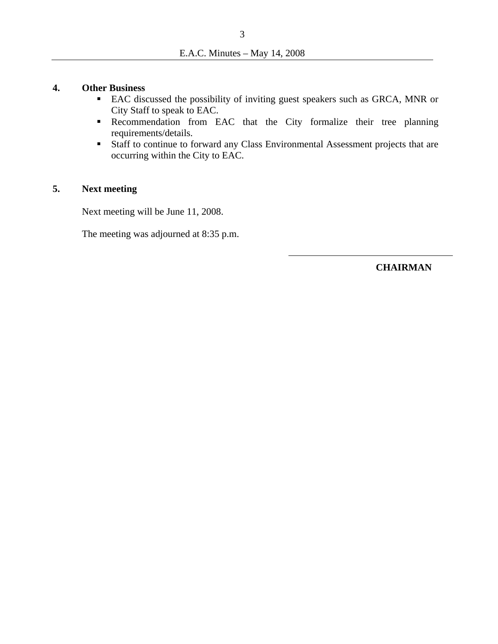### **4. Other Business**

- EAC discussed the possibility of inviting guest speakers such as GRCA, MNR or City Staff to speak to EAC.
- **Recommendation** from EAC that the City formalize their tree planning requirements/details.
- Staff to continue to forward any Class Environmental Assessment projects that are occurring within the City to EAC.

# **5. Next meeting**

Next meeting will be June 11, 2008.

The meeting was adjourned at 8:35 p.m.

**CHAIRMAN**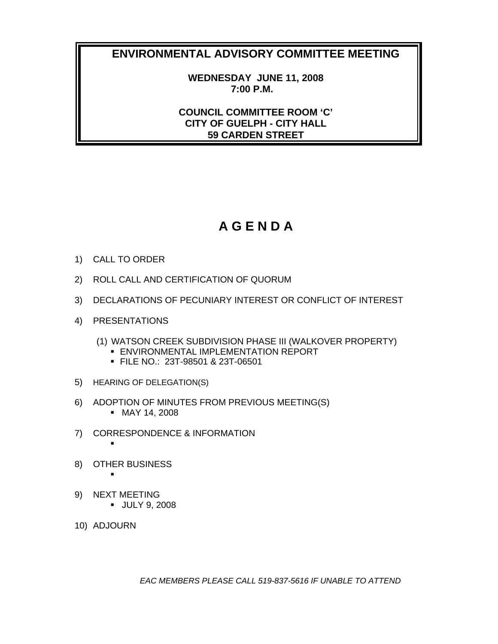**WEDNESDAY JUNE 11, 2008 7:00 P.M.** 

**COUNCIL COMMITTEE ROOM 'C' CITY OF GUELPH - CITY HALL 59 CARDEN STREET** 

# **A G E N D A**

- 1) CALL TO ORDER
- 2) ROLL CALL AND CERTIFICATION OF QUORUM
- 3) DECLARATIONS OF PECUNIARY INTEREST OR CONFLICT OF INTEREST
- 4) PRESENTATIONS
	- (1) WATSON CREEK SUBDIVISION PHASE III (WALKOVER PROPERTY)
		- **ENVIRONMENTAL IMPLEMENTATION REPORT**
		- FILE NO.: 23T-98501 & 23T-06501
- 5) HEARING OF DELEGATION(S)
- 6) ADOPTION OF MINUTES FROM PREVIOUS MEETING(S) MAY 14, 2008
- 7) CORRESPONDENCE & INFORMATION
- 8) OTHER BUSINESS

٠

٠

- 9) NEXT MEETING **JULY 9, 2008**
- 10) ADJOURN

*EAC MEMBERS PLEASE CALL 519-837-5616 IF UNABLE TO ATTEND*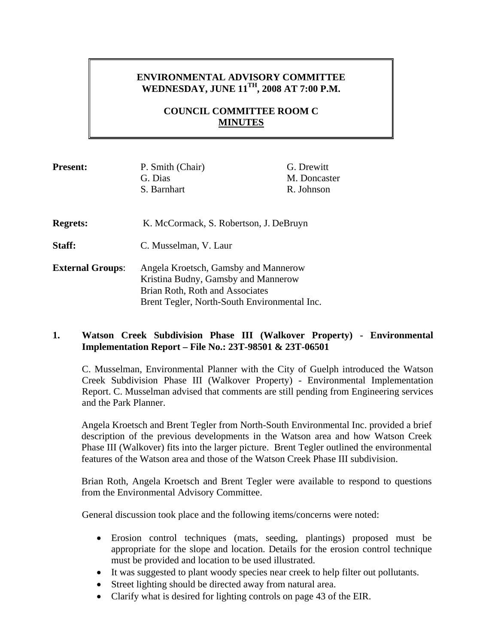# **ENVIRONMENTAL ADVISORY COMMITTEE WEDNESDAY, JUNE 11TH, 2008 AT 7:00 P.M.**

## **COUNCIL COMMITTEE ROOM C MINUTES**

| <b>Present:</b>         | P. Smith (Chair)<br>G. Dias                                                                                                                                    | G. Drewitt<br>M. Doncaster |
|-------------------------|----------------------------------------------------------------------------------------------------------------------------------------------------------------|----------------------------|
|                         | S. Barnhart                                                                                                                                                    | R. Johnson                 |
| <b>Regrets:</b>         | K. McCormack, S. Robertson, J. DeBruyn                                                                                                                         |                            |
| <b>Staff:</b>           | C. Musselman, V. Laur                                                                                                                                          |                            |
| <b>External Groups:</b> | Angela Kroetsch, Gamsby and Mannerow<br>Kristina Budny, Gamsby and Mannerow<br>Brian Roth, Roth and Associates<br>Brent Tegler, North-South Environmental Inc. |                            |

## **1. Watson Creek Subdivision Phase III (Walkover Property) - Environmental Implementation Report – File No.: 23T-98501 & 23T-06501**

C. Musselman, Environmental Planner with the City of Guelph introduced the Watson Creek Subdivision Phase III (Walkover Property) - Environmental Implementation Report. C. Musselman advised that comments are still pending from Engineering services and the Park Planner.

Angela Kroetsch and Brent Tegler from North-South Environmental Inc. provided a brief description of the previous developments in the Watson area and how Watson Creek Phase III (Walkover) fits into the larger picture. Brent Tegler outlined the environmental features of the Watson area and those of the Watson Creek Phase III subdivision.

Brian Roth, Angela Kroetsch and Brent Tegler were available to respond to questions from the Environmental Advisory Committee.

General discussion took place and the following items/concerns were noted:

- Erosion control techniques (mats, seeding, plantings) proposed must be appropriate for the slope and location. Details for the erosion control technique must be provided and location to be used illustrated.
- It was suggested to plant woody species near creek to help filter out pollutants.
- Street lighting should be directed away from natural area.
- Clarify what is desired for lighting controls on page 43 of the EIR.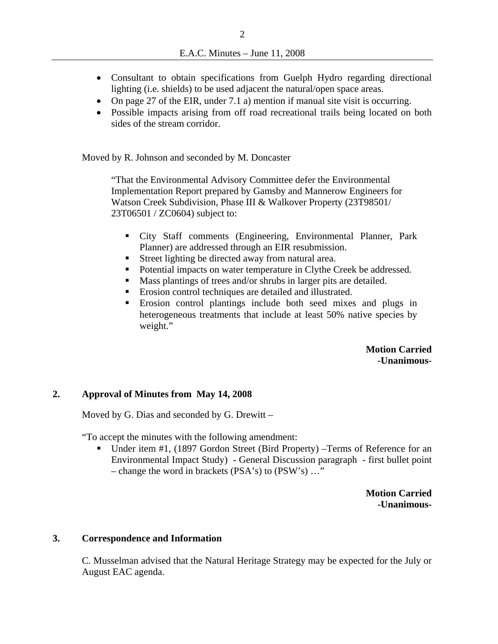- Consultant to obtain specifications from Guelph Hydro regarding directional lighting (i.e. shields) to be used adjacent the natural/open space areas.
- On page 27 of the EIR, under 7.1 a) mention if manual site visit is occurring.
- Possible impacts arising from off road recreational trails being located on both sides of the stream corridor.

Moved by R. Johnson and seconded by M. Doncaster

"That the Environmental Advisory Committee defer the Environmental Implementation Report prepared by Gamsby and Mannerow Engineers for Watson Creek Subdivision, Phase III & Walkover Property (23T98501/ 23T06501 / ZC0604) subject to:

- City Staff comments (Engineering, Environmental Planner, Park Planner) are addressed through an EIR resubmission.
- Street lighting be directed away from natural area.
- Potential impacts on water temperature in Clythe Creek be addressed.
- Mass plantings of trees and/or shrubs in larger pits are detailed.
- Erosion control techniques are detailed and illustrated.
- Erosion control plantings include both seed mixes and plugs in heterogeneous treatments that include at least 50% native species by weight."

**Motion Carried -Unanimous-**

### **2. Approval of Minutes from May 14, 2008**

Moved by G. Dias and seconded by G. Drewitt –

"To accept the minutes with the following amendment:

■ Under item #1, (1897 Gordon Street (Bird Property) –Terms of Reference for an Environmental Impact Study) - General Discussion paragraph - first bullet point – change the word in brackets (PSA's) to (PSW's) …"

> **Motion Carried -Unanimous-**

#### **3. Correspondence and Information**

C. Musselman advised that the Natural Heritage Strategy may be expected for the July or August EAC agenda.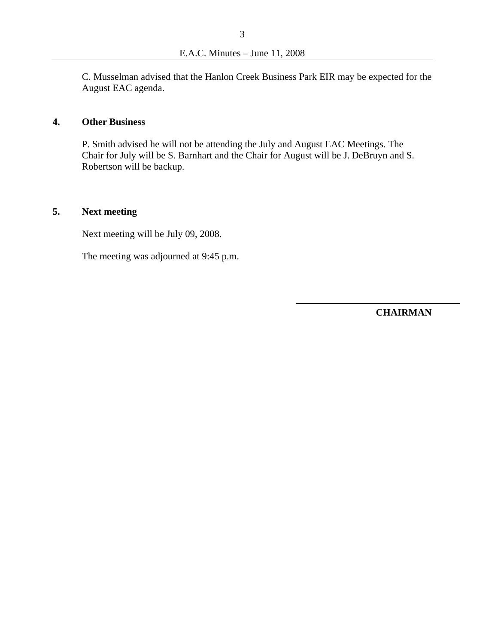C. Musselman advised that the Hanlon Creek Business Park EIR may be expected for the August EAC agenda.

### **4. Other Business**

P. Smith advised he will not be attending the July and August EAC Meetings. The Chair for July will be S. Barnhart and the Chair for August will be J. DeBruyn and S. Robertson will be backup.

# **5. Next meeting**

Next meeting will be July 09, 2008.

The meeting was adjourned at 9:45 p.m.

**CHAIRMAN**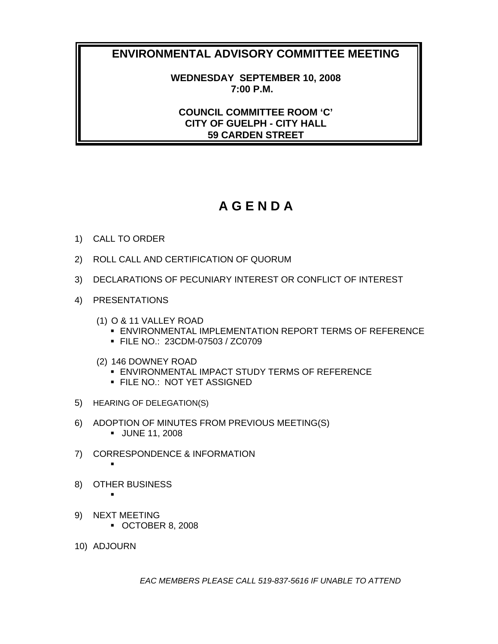**WEDNESDAY SEPTEMBER 10, 2008 7:00 P.M.** 

**COUNCIL COMMITTEE ROOM 'C' CITY OF GUELPH - CITY HALL 59 CARDEN STREET** 

# **A G E N D A**

- 1) CALL TO ORDER
- 2) ROLL CALL AND CERTIFICATION OF QUORUM
- 3) DECLARATIONS OF PECUNIARY INTEREST OR CONFLICT OF INTEREST
- 4) PRESENTATIONS
	- (1) O & 11 VALLEY ROAD
		- **ENVIRONMENTAL IMPLEMENTATION REPORT TERMS OF REFERENCE**
		- FILE NO.: 23CDM-07503 / ZC0709
	- (2) 146 DOWNEY ROAD
		- ENVIRONMENTAL IMPACT STUDY TERMS OF REFERENCE
		- **FILE NO.: NOT YET ASSIGNED**
- 5) HEARING OF DELEGATION(S)
- 6) ADOPTION OF MINUTES FROM PREVIOUS MEETING(S)
	- JUNE 11, 2008
- 7) CORRESPONDENCE & INFORMATION
- 8) OTHER BUSINESS
- ٠ 9) NEXT MEETING

 $\blacksquare$ 

- OCTOBER 8, 2008
- 10) ADJOURN

*EAC MEMBERS PLEASE CALL 519-837-5616 IF UNABLE TO ATTEND*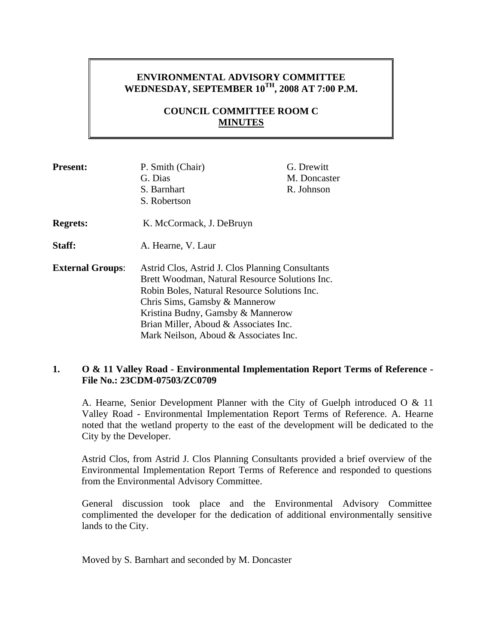# **ENVIRONMENTAL ADVISORY COMMITTEE**  WEDNESDAY, SEPTEMBER  $10^{TH}$ , 2008 AT 7:00 P.M.

# **COUNCIL COMMITTEE ROOM C MINUTES**

| <b>Present:</b>         | P. Smith (Chair)<br>G. Dias<br>S. Barnhart<br>S. Robertson                                                                                                                                                                                                                                                 | G. Drewitt<br>M. Doncaster<br>R. Johnson |
|-------------------------|------------------------------------------------------------------------------------------------------------------------------------------------------------------------------------------------------------------------------------------------------------------------------------------------------------|------------------------------------------|
| <b>Regrets:</b>         | K. McCormack, J. DeBruyn                                                                                                                                                                                                                                                                                   |                                          |
| Staff:                  | A. Hearne, V. Laur                                                                                                                                                                                                                                                                                         |                                          |
| <b>External Groups:</b> | Astrid Clos, Astrid J. Clos Planning Consultants<br>Brett Woodman, Natural Resource Solutions Inc.<br>Robin Boles, Natural Resource Solutions Inc.<br>Chris Sims, Gamsby & Mannerow<br>Kristina Budny, Gamsby & Mannerow<br>Brian Miller, Aboud & Associates Inc.<br>Mark Neilson, Aboud & Associates Inc. |                                          |

### **1. O & 11 Valley Road - Environmental Implementation Report Terms of Reference - File No.: 23CDM-07503/ZC0709**

A. Hearne, Senior Development Planner with the City of Guelph introduced O & 11 Valley Road - Environmental Implementation Report Terms of Reference. A. Hearne noted that the wetland property to the east of the development will be dedicated to the City by the Developer.

Astrid Clos, from Astrid J. Clos Planning Consultants provided a brief overview of the Environmental Implementation Report Terms of Reference and responded to questions from the Environmental Advisory Committee.

General discussion took place and the Environmental Advisory Committee complimented the developer for the dedication of additional environmentally sensitive lands to the City.

Moved by S. Barnhart and seconded by M. Doncaster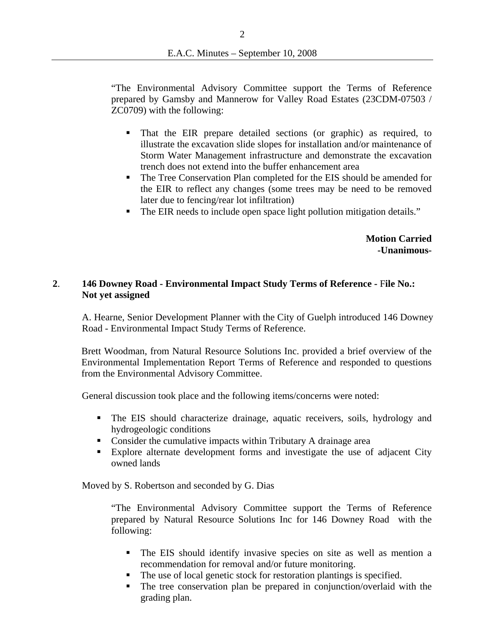"The Environmental Advisory Committee support the Terms of Reference prepared by Gamsby and Mannerow for Valley Road Estates (23CDM-07503 / ZC0709) with the following:

- That the EIR prepare detailed sections (or graphic) as required, to illustrate the excavation slide slopes for installation and/or maintenance of Storm Water Management infrastructure and demonstrate the excavation trench does not extend into the buffer enhancement area
- The Tree Conservation Plan completed for the EIS should be amended for the EIR to reflect any changes (some trees may be need to be removed later due to fencing/rear lot infiltration)
- The EIR needs to include open space light pollution mitigation details."

**Motion Carried -Unanimous-**

### **2**. **146 Downey Road - Environmental Impact Study Terms of Reference -** F**ile No.: Not yet assigned**

A. Hearne, Senior Development Planner with the City of Guelph introduced 146 Downey Road - Environmental Impact Study Terms of Reference.

Brett Woodman, from Natural Resource Solutions Inc. provided a brief overview of the Environmental Implementation Report Terms of Reference and responded to questions from the Environmental Advisory Committee.

General discussion took place and the following items/concerns were noted:

- The EIS should characterize drainage, aquatic receivers, soils, hydrology and hydrogeologic conditions
- Consider the cumulative impacts within Tributary A drainage area
- Explore alternate development forms and investigate the use of adjacent City owned lands

Moved by S. Robertson and seconded by G. Dias

"The Environmental Advisory Committee support the Terms of Reference prepared by Natural Resource Solutions Inc for 146 Downey Road with the following:

- The EIS should identify invasive species on site as well as mention a recommendation for removal and/or future monitoring.
- The use of local genetic stock for restoration plantings is specified.
- The tree conservation plan be prepared in conjunction/overlaid with the grading plan.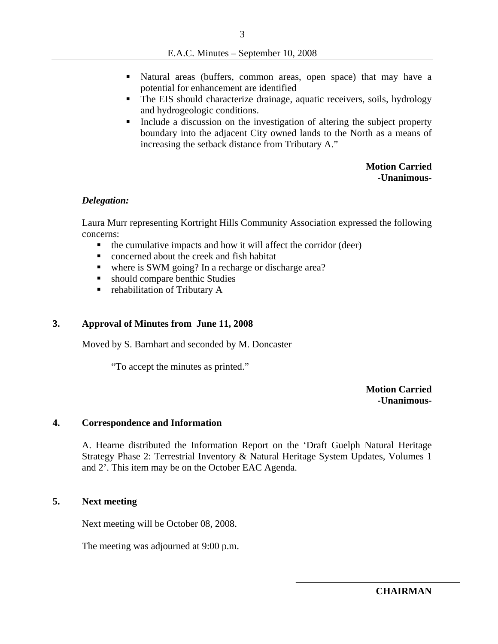- Natural areas (buffers, common areas, open space) that may have a potential for enhancement are identified
- The EIS should characterize drainage, aquatic receivers, soils, hydrology and hydrogeologic conditions.
- Include a discussion on the investigation of altering the subject property boundary into the adjacent City owned lands to the North as a means of increasing the setback distance from Tributary A."

**Motion Carried -Unanimous-**

#### *Delegation:*

Laura Murr representing Kortright Hills Community Association expressed the following concerns:

- $\blacksquare$  the cumulative impacts and how it will affect the corridor (deer)
- concerned about the creek and fish habitat
- where is SWM going? In a recharge or discharge area?
- should compare benthic Studies
- rehabilitation of Tributary A

### **3. Approval of Minutes from June 11, 2008**

Moved by S. Barnhart and seconded by M. Doncaster

"To accept the minutes as printed."

**Motion Carried -Unanimous-**

#### **4. Correspondence and Information**

A. Hearne distributed the Information Report on the 'Draft Guelph Natural Heritage Strategy Phase 2: Terrestrial Inventory & Natural Heritage System Updates, Volumes 1 and 2'. This item may be on the October EAC Agenda.

### **5. Next meeting**

Next meeting will be October 08, 2008.

The meeting was adjourned at 9:00 p.m.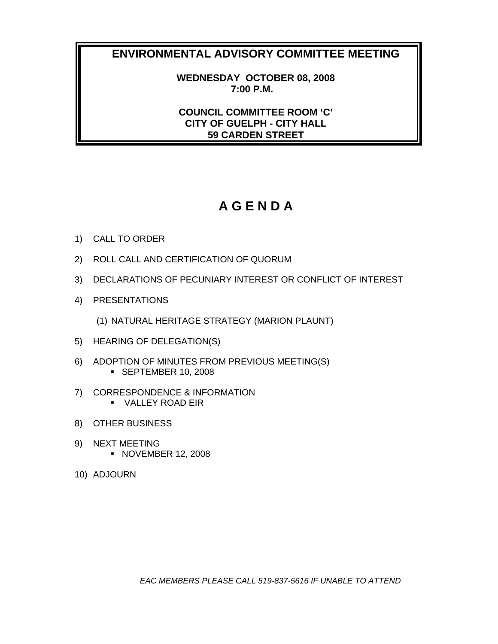**WEDNESDAY OCTOBER 08, 2008 7:00 P.M.** 

**COUNCIL COMMITTEE ROOM 'C' CITY OF GUELPH - CITY HALL 59 CARDEN STREET** 

# **A G E N D A**

- 1) CALL TO ORDER
- 2) ROLL CALL AND CERTIFICATION OF QUORUM
- 3) DECLARATIONS OF PECUNIARY INTEREST OR CONFLICT OF INTEREST
- 4) PRESENTATIONS

(1) NATURAL HERITAGE STRATEGY (MARION PLAUNT)

- 5) HEARING OF DELEGATION(S)
- 6) ADOPTION OF MINUTES FROM PREVIOUS MEETING(S) **SEPTEMBER 10, 2008**
- 7) CORRESPONDENCE & INFORMATION VALLEY ROAD EIR
- 8) OTHER BUSINESS
- 9) NEXT MEETING **NOVEMBER 12, 2008**
- 10) ADJOURN

*EAC MEMBERS PLEASE CALL 519-837-5616 IF UNABLE TO ATTEND*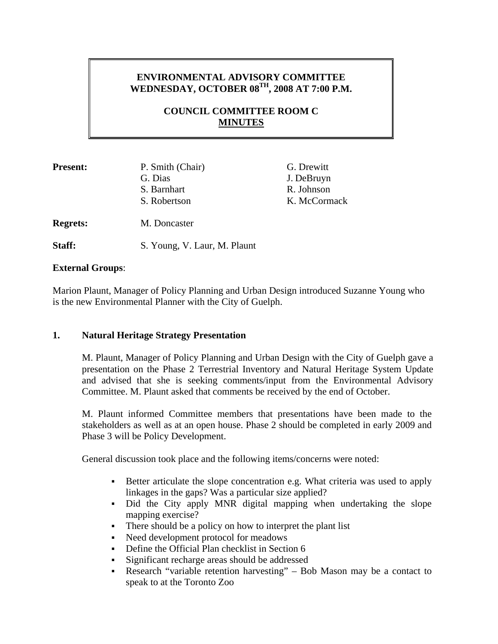# **ENVIRONMENTAL ADVISORY COMMITTEE WEDNESDAY, OCTOBER 08TH, 2008 AT 7:00 P.M.**

# **COUNCIL COMMITTEE ROOM C MINUTES**

| <b>Present:</b> | P. Smith (Chair)<br>G. Dias | G. Drewitt<br>J. DeBruyn   |
|-----------------|-----------------------------|----------------------------|
|                 | S. Barnhart<br>S. Robertson | R. Johnson<br>K. McCormack |
| <b>Regrets:</b> | M. Doncaster                |                            |

Staff: S. Young, V. Laur, M. Plaunt

### **External Groups**:

Marion Plaunt, Manager of Policy Planning and Urban Design introduced Suzanne Young who is the new Environmental Planner with the City of Guelph.

## **1. Natural Heritage Strategy Presentation**

M. Plaunt, Manager of Policy Planning and Urban Design with the City of Guelph gave a presentation on the Phase 2 Terrestrial Inventory and Natural Heritage System Update and advised that she is seeking comments/input from the Environmental Advisory Committee. M. Plaunt asked that comments be received by the end of October.

M. Plaunt informed Committee members that presentations have been made to the stakeholders as well as at an open house. Phase 2 should be completed in early 2009 and Phase 3 will be Policy Development.

General discussion took place and the following items/concerns were noted:

- Better articulate the slope concentration e.g. What criteria was used to apply linkages in the gaps? Was a particular size applied?
- Did the City apply MNR digital mapping when undertaking the slope mapping exercise?
- There should be a policy on how to interpret the plant list
- Need development protocol for meadows
- Define the Official Plan checklist in Section 6
- Significant recharge areas should be addressed
- Research "variable retention harvesting" Bob Mason may be a contact to speak to at the Toronto Zoo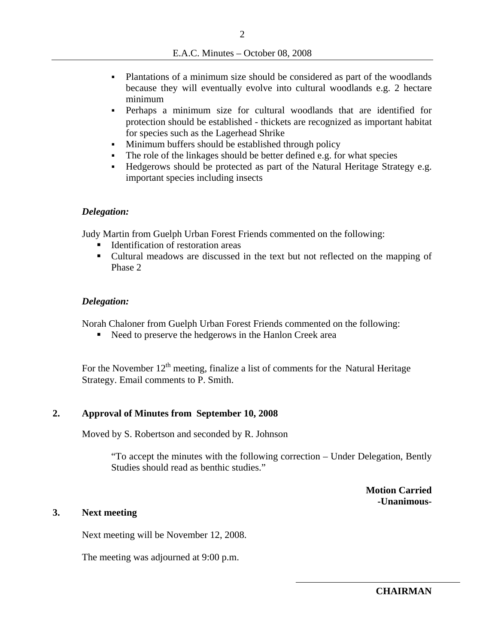- Plantations of a minimum size should be considered as part of the woodlands because they will eventually evolve into cultural woodlands e.g. 2 hectare minimum
- Perhaps a minimum size for cultural woodlands that are identified for protection should be established - thickets are recognized as important habitat for species such as the Lagerhead Shrike
- Minimum buffers should be established through policy
- The role of the linkages should be better defined e.g. for what species
- Hedgerows should be protected as part of the Natural Heritage Strategy e.g. important species including insects

#### *Delegation:*

Judy Martin from Guelph Urban Forest Friends commented on the following:

- Identification of restoration areas
- Cultural meadows are discussed in the text but not reflected on the mapping of Phase 2

### *Delegation:*

Norah Chaloner from Guelph Urban Forest Friends commented on the following:

Need to preserve the hedgerows in the Hanlon Creek area

For the November  $12<sup>th</sup>$  meeting, finalize a list of comments for the Natural Heritage Strategy. Email comments to P. Smith.

### **2. Approval of Minutes from September 10, 2008**

Moved by S. Robertson and seconded by R. Johnson

"To accept the minutes with the following correction – Under Delegation, Bently Studies should read as benthic studies."

> **Motion Carried -Unanimous-**

### **3. Next meeting**

Next meeting will be November 12, 2008.

The meeting was adjourned at 9:00 p.m.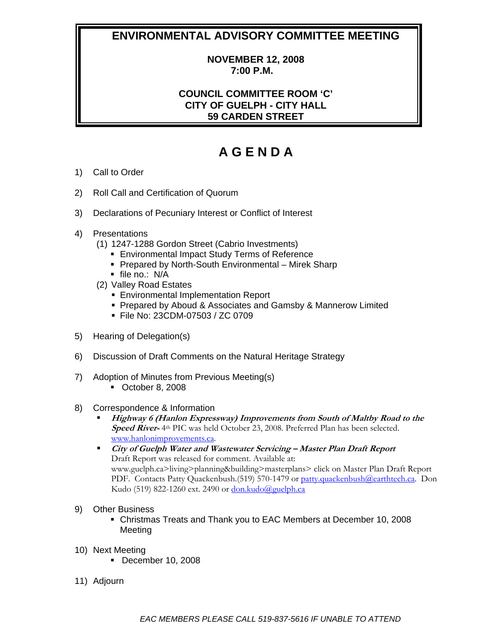### **NOVEMBER 12, 2008 7:00 P.M.**

# **COUNCIL COMMITTEE ROOM 'C' CITY OF GUELPH - CITY HALL 59 CARDEN STREET**

# **A G E N D A**

- 1) Call to Order
- 2) Roll Call and Certification of Quorum
- 3) Declarations of Pecuniary Interest or Conflict of Interest
- 4) Presentations
	- (1) 1247-1288 Gordon Street (Cabrio Investments)
		- **Environmental Impact Study Terms of Reference**
		- **Prepared by North-South Environmental Mirek Sharp**
		- file no.: N/A
	- (2) Valley Road Estates
		- **Environmental Implementation Report**
		- **Prepared by Aboud & Associates and Gamsby & Mannerow Limited**
		- File No: 23CDM-07503 / ZC 0709
- 5) Hearing of Delegation(s)
- 6) Discussion of Draft Comments on the Natural Heritage Strategy
- 7) Adoption of Minutes from Previous Meeting(s)
	- October 8, 2008
- 8) Correspondence & Information
	- **Highway 6 (Hanlon Expressway) Improvements from South of Maltby Road to the Speed River-** 4th PIC was held October 23, 2008. Preferred Plan has been selected. www.hanlonimprovements.ca.
	- **City of Guelph Water and Wastewater Servicing Master Plan Draft Report**  Draft Report was released for comment. Available at: www.guelph.ca>living>planning&building>masterplans> click on Master Plan Draft Report PDF. Contacts Patty Quackenbush.(519) 570-1479 or patty.quackenbush@earthtech.ca. Don Kudo (519) 822-1260 ext. 2490 or  $don.kudo@guelph.ca$
- 9) Other Business
	- Christmas Treats and Thank you to EAC Members at December 10, 2008 Meeting
- 10) Next Meeting
	- **December 10, 2008**
- 11) Adjourn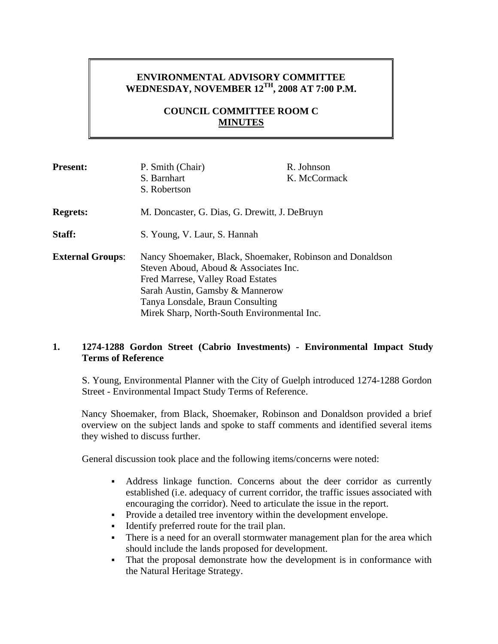# **ENVIRONMENTAL ADVISORY COMMITTEE WEDNESDAY, NOVEMBER 12TH, 2008 AT 7:00 P.M.**

# **COUNCIL COMMITTEE ROOM C MINUTES**

| <b>Present:</b>         | P. Smith (Chair)                                                                                                                                                                                                                                              | R. Johnson   |
|-------------------------|---------------------------------------------------------------------------------------------------------------------------------------------------------------------------------------------------------------------------------------------------------------|--------------|
|                         | S. Barnhart                                                                                                                                                                                                                                                   | K. McCormack |
|                         | S. Robertson                                                                                                                                                                                                                                                  |              |
| <b>Regrets:</b>         | M. Doncaster, G. Dias, G. Drewitt, J. DeBruyn                                                                                                                                                                                                                 |              |
| Staff:                  | S. Young, V. Laur, S. Hannah                                                                                                                                                                                                                                  |              |
| <b>External Groups:</b> | Nancy Shoemaker, Black, Shoemaker, Robinson and Donaldson<br>Steven Aboud, Aboud & Associates Inc.<br>Fred Marrese, Valley Road Estates<br>Sarah Austin, Gamsby & Mannerow<br>Tanya Lonsdale, Braun Consulting<br>Mirek Sharp, North-South Environmental Inc. |              |

### **1. 1274-1288 Gordon Street (Cabrio Investments) - Environmental Impact Study Terms of Reference**

S. Young, Environmental Planner with the City of Guelph introduced 1274-1288 Gordon Street - Environmental Impact Study Terms of Reference.

Nancy Shoemaker, from Black, Shoemaker, Robinson and Donaldson provided a brief overview on the subject lands and spoke to staff comments and identified several items they wished to discuss further.

General discussion took place and the following items/concerns were noted:

- Address linkage function. Concerns about the deer corridor as currently established (i.e. adequacy of current corridor, the traffic issues associated with encouraging the corridor). Need to articulate the issue in the report.
- Provide a detailed tree inventory within the development envelope.
- Identify preferred route for the trail plan.
- There is a need for an overall stormwater management plan for the area which should include the lands proposed for development.
- That the proposal demonstrate how the development is in conformance with the Natural Heritage Strategy.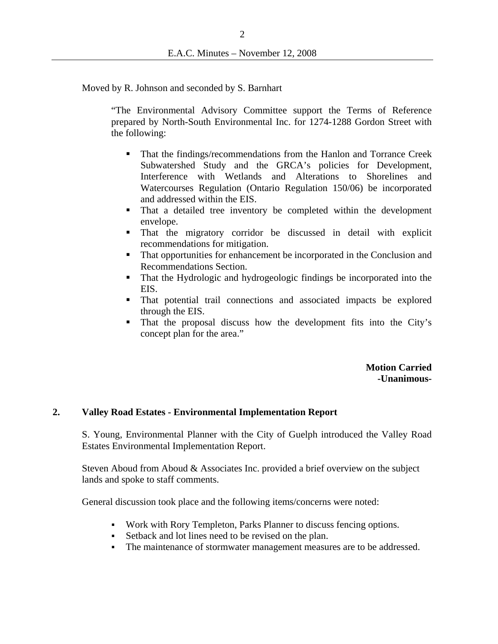Moved by R. Johnson and seconded by S. Barnhart

"The Environmental Advisory Committee support the Terms of Reference prepared by North-South Environmental Inc. for 1274-1288 Gordon Street with the following:

- **That the findings/recommendations from the Hanlon and Torrance Creek** Subwatershed Study and the GRCA's policies for Development, Interference with Wetlands and Alterations to Shorelines and Watercourses Regulation (Ontario Regulation 150/06) be incorporated and addressed within the EIS.
- That a detailed tree inventory be completed within the development envelope.
- That the migratory corridor be discussed in detail with explicit recommendations for mitigation.
- That opportunities for enhancement be incorporated in the Conclusion and Recommendations Section.
- That the Hydrologic and hydrogeologic findings be incorporated into the EIS.
- That potential trail connections and associated impacts be explored through the EIS.
- That the proposal discuss how the development fits into the City's concept plan for the area."

**Motion Carried -Unanimous-**

### **2. Valley Road Estates - Environmental Implementation Report**

S. Young, Environmental Planner with the City of Guelph introduced the Valley Road Estates Environmental Implementation Report.

Steven Aboud from Aboud & Associates Inc. provided a brief overview on the subject lands and spoke to staff comments.

General discussion took place and the following items/concerns were noted:

- Work with Rory Templeton, Parks Planner to discuss fencing options.
- Setback and lot lines need to be revised on the plan.
- The maintenance of stormwater management measures are to be addressed.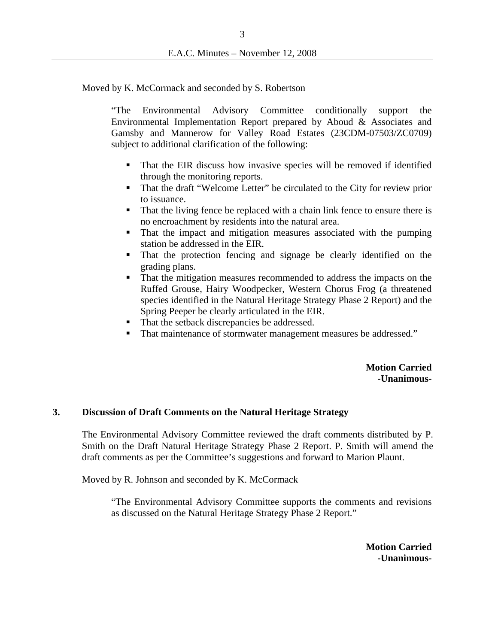Moved by K. McCormack and seconded by S. Robertson

"The Environmental Advisory Committee conditionally support the Environmental Implementation Report prepared by Aboud & Associates and Gamsby and Mannerow for Valley Road Estates (23CDM-07503/ZC0709) subject to additional clarification of the following:

- That the EIR discuss how invasive species will be removed if identified through the monitoring reports.
- That the draft "Welcome Letter" be circulated to the City for review prior to issuance.
- That the living fence be replaced with a chain link fence to ensure there is no encroachment by residents into the natural area.
- That the impact and mitigation measures associated with the pumping station be addressed in the EIR.
- That the protection fencing and signage be clearly identified on the grading plans.
- That the mitigation measures recommended to address the impacts on the Ruffed Grouse, Hairy Woodpecker, Western Chorus Frog (a threatened species identified in the Natural Heritage Strategy Phase 2 Report) and the Spring Peeper be clearly articulated in the EIR.
- That the setback discrepancies be addressed.
- That maintenance of stormwater management measures be addressed."

**Motion Carried -Unanimous-**

### **3. Discussion of Draft Comments on the Natural Heritage Strategy**

The Environmental Advisory Committee reviewed the draft comments distributed by P. Smith on the Draft Natural Heritage Strategy Phase 2 Report. P. Smith will amend the draft comments as per the Committee's suggestions and forward to Marion Plaunt.

Moved by R. Johnson and seconded by K. McCormack

"The Environmental Advisory Committee supports the comments and revisions as discussed on the Natural Heritage Strategy Phase 2 Report."

> **Motion Carried -Unanimous-**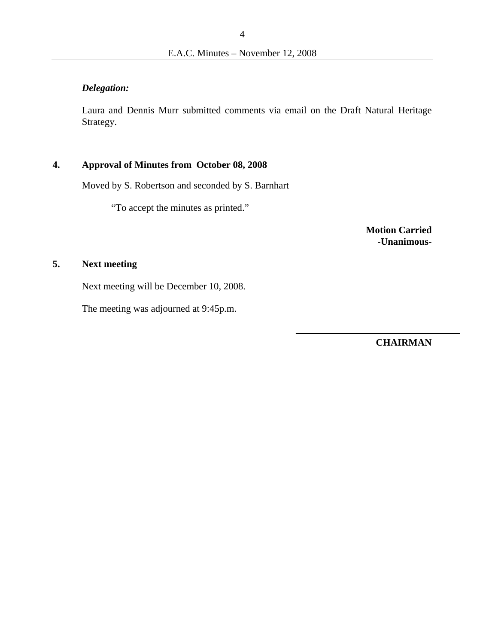# *Delegation:*

Laura and Dennis Murr submitted comments via email on the Draft Natural Heritage Strategy.

## **4. Approval of Minutes from October 08, 2008**

Moved by S. Robertson and seconded by S. Barnhart

"To accept the minutes as printed."

**Motion Carried -Unanimous-**

# **5. Next meeting**

Next meeting will be December 10, 2008.

The meeting was adjourned at 9:45p.m.

**CHAIRMAN**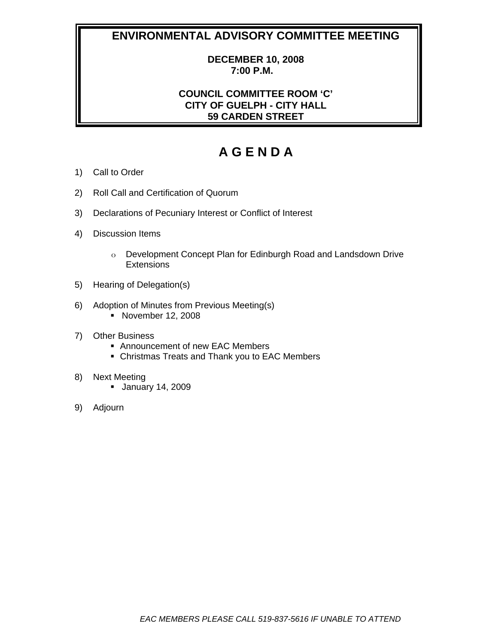### **DECEMBER 10, 2008 7:00 P.M.**

# **COUNCIL COMMITTEE ROOM 'C' CITY OF GUELPH - CITY HALL 59 CARDEN STREET**

# **A G E N D A**

- 1) Call to Order
- 2) Roll Call and Certification of Quorum
- 3) Declarations of Pecuniary Interest or Conflict of Interest
- 4) Discussion Items
	- o Development Concept Plan for Edinburgh Road and Landsdown Drive **Extensions**
- 5) Hearing of Delegation(s)
- 6) Adoption of Minutes from Previous Meeting(s)
	- **November 12, 2008**
- 7) Other Business
	- Announcement of new EAC Members
	- Christmas Treats and Thank you to EAC Members
- 8) Next Meeting
	- January 14, 2009
- 9) Adjourn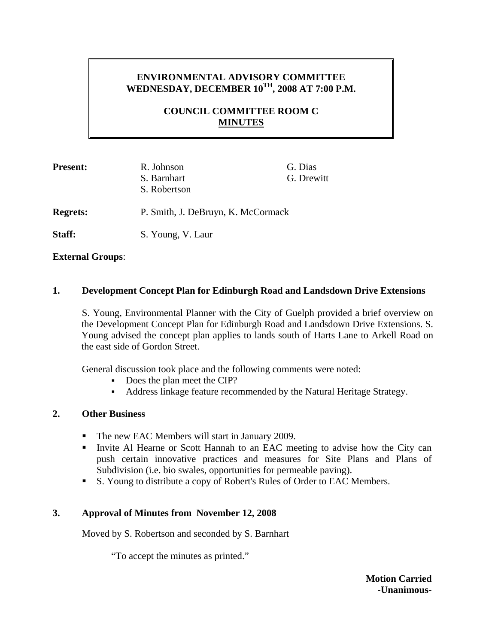# **ENVIRONMENTAL ADVISORY COMMITTEE WEDNESDAY, DECEMBER 10TH, 2008 AT 7:00 P.M.**

# **COUNCIL COMMITTEE ROOM C MINUTES**

| <b>Present:</b> | R. Johnson                         | G. Dias    |
|-----------------|------------------------------------|------------|
|                 | S. Barnhart                        | G. Drewitt |
|                 | S. Robertson                       |            |
| <b>Regrets:</b> | P. Smith, J. DeBruyn, K. McCormack |            |
| Staff:          | S. Young, V. Laur                  |            |

### **External Groups**:

### **1. Development Concept Plan for Edinburgh Road and Landsdown Drive Extensions**

 S. Young, Environmental Planner with the City of Guelph provided a brief overview on the Development Concept Plan for Edinburgh Road and Landsdown Drive Extensions. S. Young advised the concept plan applies to lands south of Harts Lane to Arkell Road on the east side of Gordon Street.

General discussion took place and the following comments were noted:

- Does the plan meet the CIP?
- Address linkage feature recommended by the Natural Heritage Strategy.

### **2. Other Business**

- The new EAC Members will start in January 2009.
- Invite Al Hearne or Scott Hannah to an EAC meeting to advise how the City can push certain innovative practices and measures for Site Plans and Plans of Subdivision (i.e. bio swales, opportunities for permeable paving).
- S. Young to distribute a copy of Robert's Rules of Order to EAC Members.

## **3. Approval of Minutes from November 12, 2008**

Moved by S. Robertson and seconded by S. Barnhart

"To accept the minutes as printed."

**Motion Carried -Unanimous-**